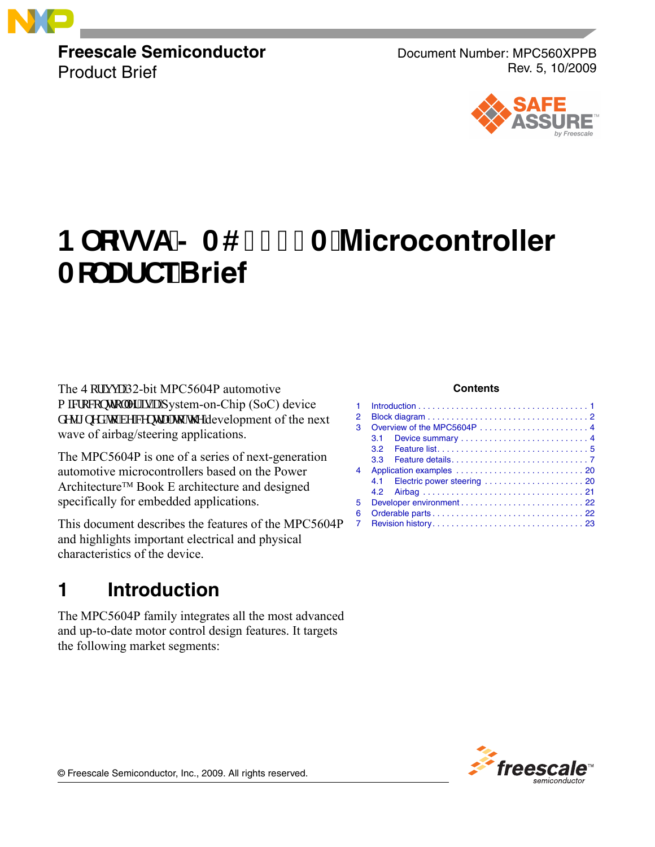

**Freescale Semiconductor** Product Brief

Document Number: MPC560XPPB Rev. 5, 10/2009



# **1DRIVA-024 & POST MICROCONTOLLER 10** Ac` Uf TeBrief

The S qtkxc'32-bit MPC5604P automotive o ketqeqpytqmgt'ku''c''System-on-Chip (SoC) device f guki pgf "vq"dg"egpvtcn'vq" yi g"development of the next wave of airbag/steering applications.

The MPC5604P is one of a series of next-generation automotive microcontrollers based on the Power Architecture™ Book E architecture and designed specifically for embedded applications.

This document describes the features of the MPC5604P and highlights important electrical and physical characteristics of the device.

# <span id="page-0-0"></span>**1 Introduction**

The MPC5604P family integrates all the most advanced and up-to-date motor control design features. It targets the following market segments:

#### **Contents**

| 1. |         |  |
|----|---------|--|
| 2  |         |  |
| 3  |         |  |
|    | $3.1 -$ |  |
|    |         |  |
|    | 3.3     |  |
| 4  |         |  |
|    |         |  |
|    |         |  |
| 5. |         |  |
| 6  |         |  |
| 7  |         |  |
|    |         |  |



© Freescale Semiconductor, Inc., 2009. All rights reserved.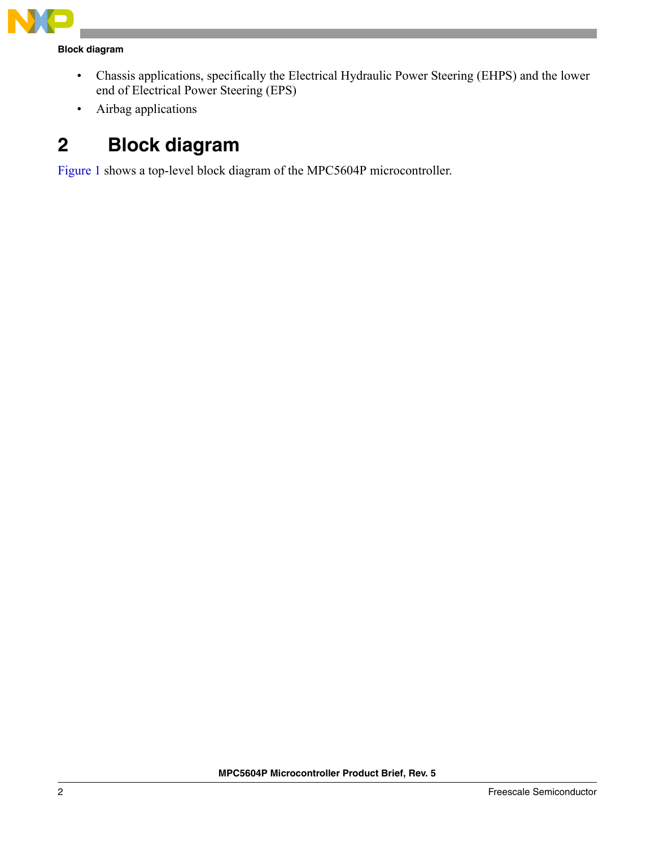

#### **Block diagram**

- Chassis applications, specifically the Electrical Hydraulic Power Steering (EHPS) and the lower end of Electrical Power Steering (EPS)
- Airbag applications

# <span id="page-1-0"></span>**2 Block diagram**

Figure 1 shows a top-level block diagram of the MPC5604P microcontroller.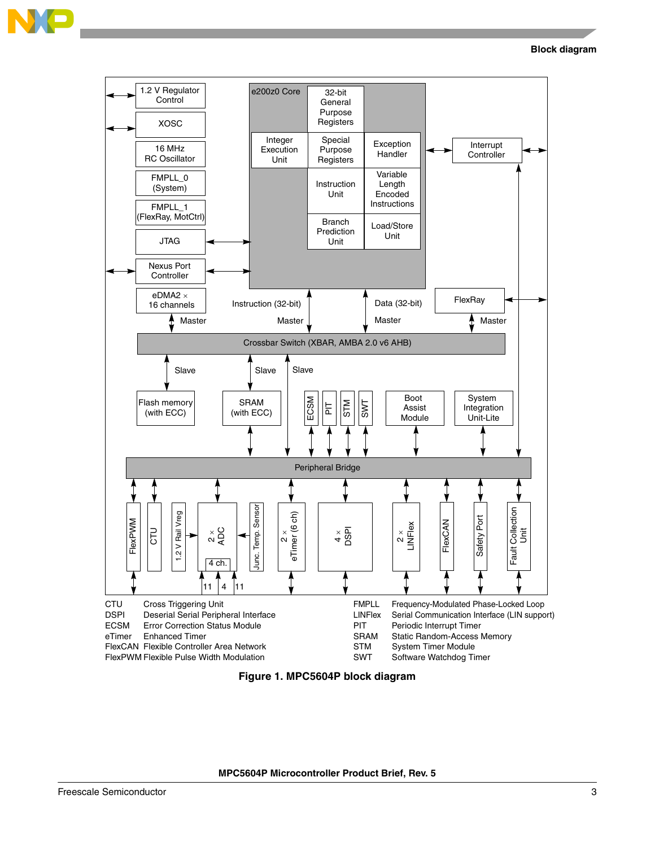

**Block diagram**



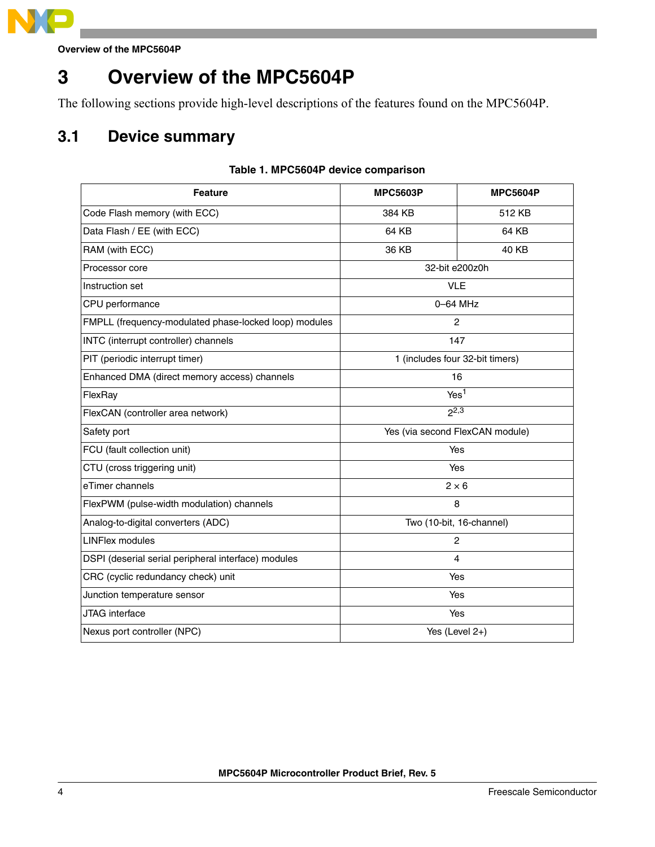

# <span id="page-3-0"></span>**3 Overview of the MPC5604P**

The following sections provide high-level descriptions of the features found on the MPC5604P.

## <span id="page-3-1"></span>**3.1 Device summary**

#### **Table 1. MPC5604P device comparison**

| <b>Feature</b>                                                    | <b>MPC5603P</b>                 | <b>MPC5604P</b> |
|-------------------------------------------------------------------|---------------------------------|-----------------|
| Code Flash memory (with ECC)                                      | 384 KB                          | 512 KB          |
| Data Flash / EE (with ECC)                                        | 64 KB                           | 64 KB           |
| RAM (with ECC)                                                    | 36 KB                           | 40 KB           |
| Processor core                                                    | 32-bit e200z0h                  |                 |
| Instruction set                                                   | <b>VLE</b>                      |                 |
| CPU performance                                                   | 0-64 MHz                        |                 |
| FMPLL (frequency-modulated phase-locked loop) modules             | 2                               |                 |
| INTC (interrupt controller) channels                              | 147                             |                 |
| PIT (periodic interrupt timer)<br>1 (includes four 32-bit timers) |                                 |                 |
| Enhanced DMA (direct memory access) channels                      | 16                              |                 |
| FlexRay                                                           | Yes <sup>1</sup>                |                 |
| FlexCAN (controller area network)                                 | $2^{2,3}$                       |                 |
| Safety port                                                       | Yes (via second FlexCAN module) |                 |
| FCU (fault collection unit)                                       |                                 | Yes             |
| CTU (cross triggering unit)                                       |                                 | Yes             |
| eTimer channels                                                   |                                 | $2 \times 6$    |
| FlexPWM (pulse-width modulation) channels                         |                                 | 8               |
| Analog-to-digital converters (ADC)                                | Two (10-bit, 16-channel)        |                 |
| <b>LINFlex modules</b>                                            | 2                               |                 |
| DSPI (deserial serial peripheral interface) modules               | 4                               |                 |
| CRC (cyclic redundancy check) unit                                | Yes                             |                 |
| Junction temperature sensor                                       | Yes                             |                 |
| JTAG interface                                                    | Yes                             |                 |
| Nexus port controller (NPC)                                       | Yes (Level 2+)                  |                 |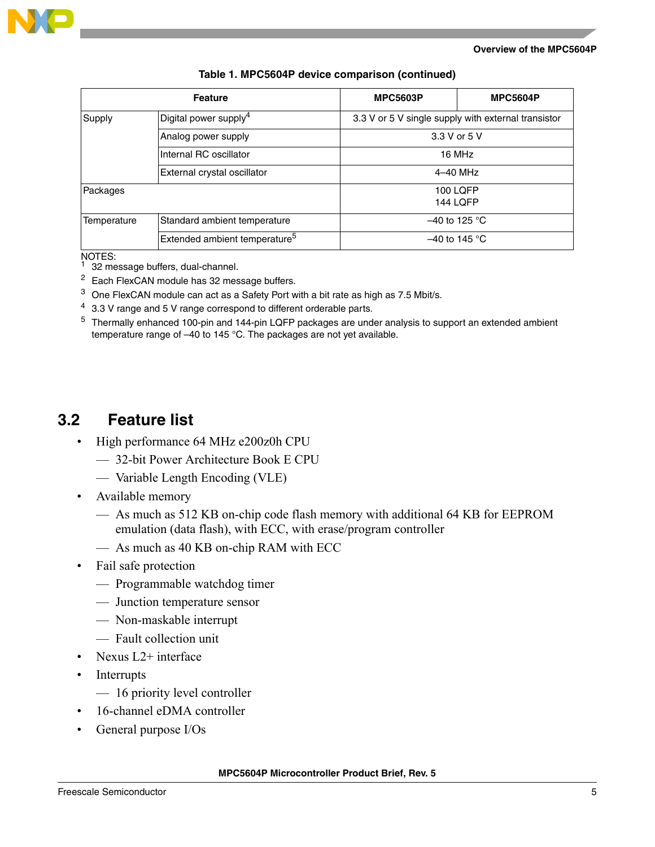

|             | <b>Feature</b>                            | <b>MPC5603P</b>                                     | <b>MPC5604P</b> |
|-------------|-------------------------------------------|-----------------------------------------------------|-----------------|
| Supply      | Digital power supply <sup>4</sup>         | 3.3 V or 5 V single supply with external transistor |                 |
|             | Analog power supply                       | 3.3 V or 5 V                                        |                 |
|             | Internal RC oscillator                    |                                                     | 16 MHz          |
|             | External crystal oscillator               | 4-40 MHz                                            |                 |
| Packages    |                                           | 100 LOFP                                            |                 |
|             |                                           | <b>144 LOFP</b>                                     |                 |
| Temperature | Standard ambient temperature              | $-40$ to 125 °C                                     |                 |
|             | Extended ambient temperature <sup>5</sup> | $-40$ to 145 °C                                     |                 |

#### **Table 1. MPC5604P device comparison (continued)**

NOTES:

- 32 message buffers, dual-channel.
- <sup>2</sup> Each FlexCAN module has 32 message buffers.
- $3$  One FlexCAN module can act as a Safety Port with a bit rate as high as 7.5 Mbit/s.
- $4\,$  3.3 V range and 5 V range correspond to different orderable parts.
- <sup>5</sup> Thermally enhanced 100-pin and 144-pin LQFP packages are under analysis to support an extended ambient temperature range of –40 to 145 °C. The packages are not yet available.

#### <span id="page-4-0"></span>**3.2 Feature list**

- High performance 64 MHz e200z0h CPU
	- 32-bit Power Architecture Book E CPU
	- Variable Length Encoding (VLE)
- Available memory
	- As much as 512 KB on-chip code flash memory with additional 64 KB for EEPROM emulation (data flash), with ECC, with erase/program controller
	- As much as 40 KB on-chip RAM with ECC
- Fail safe protection
	- Programmable watchdog timer
	- Junction temperature sensor
	- Non-maskable interrupt
	- Fault collection unit
- Nexus L2+ interface
- **Interrupts** 
	- 16 priority level controller
- 16-channel eDMA controller
- General purpose I/Os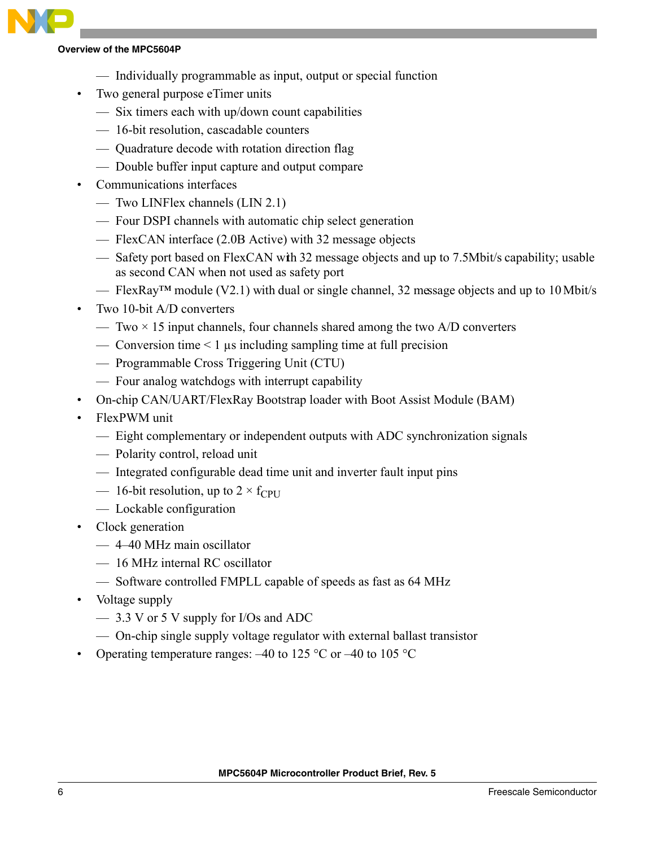- Individually programmable as input, output or special function
- Two general purpose eTimer units
	- Six timers each with up/down count capabilities
	- 16-bit resolution, cascadable counters
	- Quadrature decode with rotation direction flag
	- Double buffer input capture and output compare
- Communications interfaces
	- Two LINFlex channels (LIN 2.1)
	- Four DSPI channels with automatic chip select generation
	- FlexCAN interface (2.0B Active) with 32 message objects
	- Safety port based on FlexCAN with 32 message objects and up to 7.5Mbit/s capability; usable as second CAN when not used as safety port
	- FlexRay™ module (V2.1) with dual or single channel, 32 message objects and up to 10 Mbit/s
- Two 10-bit A/D converters
	- Two  $\times$  15 input channels, four channels shared among the two A/D converters
	- Conversion time  $\leq 1$  µs including sampling time at full precision
	- Programmable Cross Triggering Unit (CTU)
	- Four analog watchdogs with interrupt capability
- On-chip CAN/UART/FlexRay Bootstrap loader with Boot Assist Module (BAM)
- FlexPWM unit
	- Eight complementary or independent outputs with ADC synchronization signals
	- Polarity control, reload unit
	- Integrated configurable dead time unit and inverter fault input pins
	- 16-bit resolution, up to  $2 \times f_{\text{CPI}}$
	- Lockable configuration
- Clock generation
	- 4–40 MHz main oscillator
	- 16 MHz internal RC oscillator
	- Software controlled FMPLL capable of speeds as fast as 64 MHz
- Voltage supply
	- 3.3 V or 5 V supply for I/Os and ADC
	- On-chip single supply voltage regulator with external ballast transistor
- Operating temperature ranges:  $-40$  to 125 °C or  $-40$  to 105 °C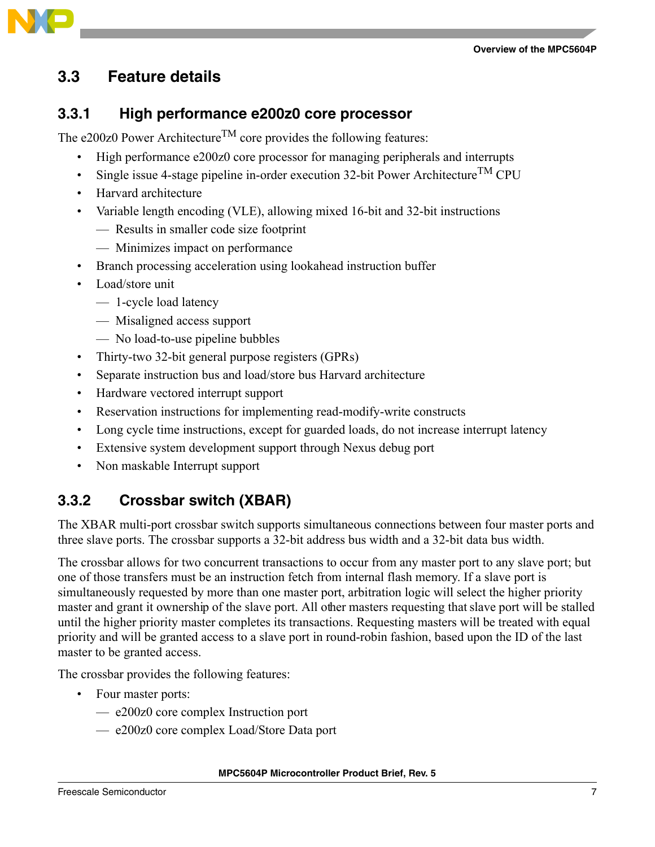

## <span id="page-6-0"></span>**3.3 Feature details**

#### **3.3.1 High performance e200z0 core processor**

The e200z0 Power Architecture<sup>TM</sup> core provides the following features:

- High performance e200z0 core processor for managing peripherals and interrupts
- Single issue 4-stage pipeline in-order execution 32-bit Power Architecture<sup>TM</sup> CPU
- Harvard architecture
- Variable length encoding (VLE), allowing mixed 16-bit and 32-bit instructions
	- Results in smaller code size footprint
	- Minimizes impact on performance
- Branch processing acceleration using lookahead instruction buffer
- Load/store unit
	- 1-cycle load latency
	- Misaligned access support
	- No load-to-use pipeline bubbles
- Thirty-two 32-bit general purpose registers (GPRs)
- Separate instruction bus and load/store bus Harvard architecture
- Hardware vectored interrupt support
- Reservation instructions for implementing read-modify-write constructs
- Long cycle time instructions, except for guarded loads, do not increase interrupt latency
- Extensive system development support through Nexus debug port
- Non maskable Interrupt support

## **3.3.2 Crossbar switch (XBAR)**

The XBAR multi-port crossbar switch supports simultaneous connections between four master ports and three slave ports. The crossbar supports a 32-bit address bus width and a 32-bit data bus width.

The crossbar allows for two concurrent transactions to occur from any master port to any slave port; but one of those transfers must be an instruction fetch from internal flash memory. If a slave port is simultaneously requested by more than one master port, arbitration logic will select the higher priority master and grant it ownership of the slave port. All other masters requesting that slave port will be stalled until the higher priority master completes its transactions. Requesting masters will be treated with equal priority and will be granted access to a slave port in round-robin fashion, based upon the ID of the last master to be granted access.

The crossbar provides the following features:

- Four master ports:
	- e200z0 core complex Instruction port
	- e200z0 core complex Load/Store Data port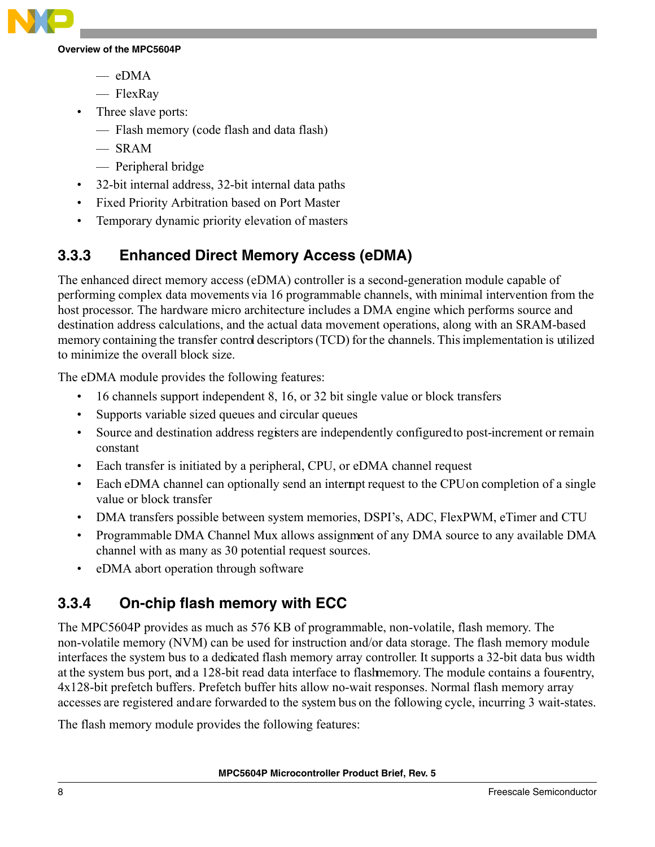

- eDMA
- FlexRay
- Three slave ports:
	- Flash memory (code flash and data flash)
	- SRAM
	- Peripheral bridge
- 32-bit internal address, 32-bit internal data paths
- Fixed Priority Arbitration based on Port Master
- Temporary dynamic priority elevation of masters

## **3.3.3 Enhanced Direct Memory Access (eDMA)**

The enhanced direct memory access (eDMA) controller is a second-generation module capable of performing complex data movements via 16 programmable channels, with minimal intervention from the host processor. The hardware micro architecture includes a DMA engine which performs source and destination address calculations, and the actual data movement operations, along with an SRAM-based memory containing the transfer control descriptors (TCD) for the channels. This implementation is utilized to minimize the overall block size.

The eDMA module provides the following features:

- 16 channels support independent 8, 16, or 32 bit single value or block transfers
- Supports variable sized queues and circular queues
- Source and destination address registers are independently configured to post-increment or remain constant
- Each transfer is initiated by a peripheral, CPU, or eDMA channel request
- Each eDMA channel can optionally send an interrupt request to the CPU on completion of a single value or block transfer
- DMA transfers possible between system memories, DSPI's, ADC, FlexPWM, eTimer and CTU
- Programmable DMA Channel Mux allows assignment of any DMA source to any available DMA channel with as many as 30 potential request sources.
- eDMA abort operation through software

## **3.3.4 On-chip flash memory with ECC**

The MPC5604P provides as much as 576 KB of programmable, non-volatile, flash memory. The non-volatile memory (NVM) can be used for instruction and/or data storage. The flash memory module interfaces the system bus to a dedicated flash memory array controller. It supports a 32-bit data bus width at the system bus port, and a 128-bit read data interface to flash memory. The module contains a four-entry, 4x128-bit prefetch buffers. Prefetch buffer hits allow no-wait responses. Normal flash memory array accesses are registered and are forwarded to the system bus on the following cycle, incurring 3 wait-states.

The flash memory module provides the following features: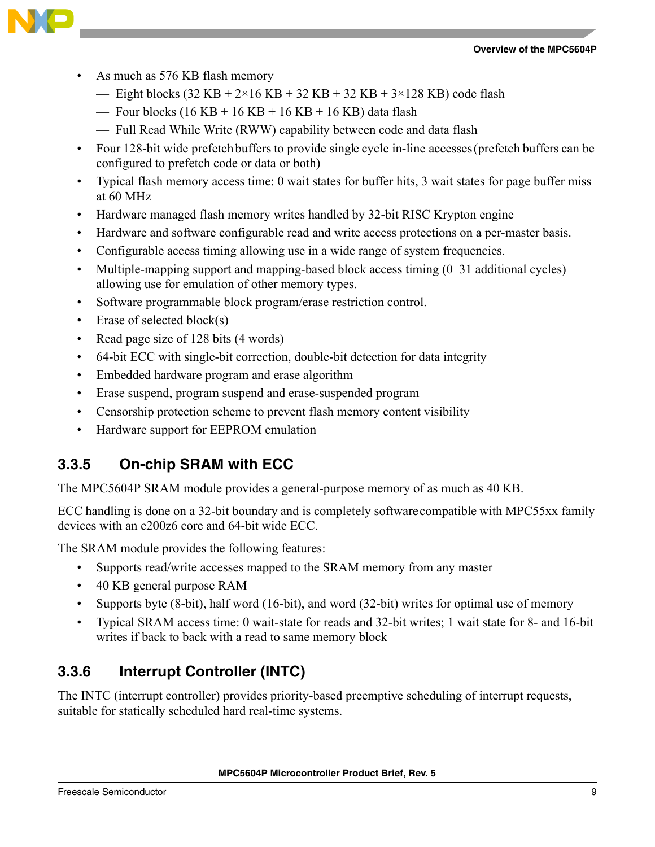

- As much as 576 KB flash memory
	- Eight blocks  $(32 \text{ KB} + 2 \times 16 \text{ KB} + 32 \text{ KB} + 32 \text{ KB} + 3 \times 128 \text{ KB})$  code flash
	- Four blocks  $(16 KB + 16 KB + 16 KB + 16 KB)$  data flash
	- Full Read While Write (RWW) capability between code and data flash
- Four 128-bit wide prefetch buffers to provide single cycle in-line accesses (prefetch buffers can be configured to prefetch code or data or both)
- Typical flash memory access time: 0 wait states for buffer hits, 3 wait states for page buffer miss at 60 MHz
- Hardware managed flash memory writes handled by 32-bit RISC Krypton engine
- Hardware and software configurable read and write access protections on a per-master basis.
- Configurable access timing allowing use in a wide range of system frequencies.
- Multiple-mapping support and mapping-based block access timing (0–31 additional cycles) allowing use for emulation of other memory types.
- Software programmable block program/erase restriction control.
- Erase of selected block(s)
- Read page size of 128 bits (4 words)
- 64-bit ECC with single-bit correction, double-bit detection for data integrity
- Embedded hardware program and erase algorithm
- Erase suspend, program suspend and erase-suspended program
- Censorship protection scheme to prevent flash memory content visibility
- Hardware support for EEPROM emulation

## **3.3.5 On-chip SRAM with ECC**

The MPC5604P SRAM module provides a general-purpose memory of as much as 40 KB.

ECC handling is done on a 32-bit boundary and is completely software compatible with MPC55xx family devices with an e200z6 core and 64-bit wide ECC.

The SRAM module provides the following features:

- Supports read/write accesses mapped to the SRAM memory from any master
- 40 KB general purpose RAM
- Supports byte (8-bit), half word (16-bit), and word (32-bit) writes for optimal use of memory
- Typical SRAM access time: 0 wait-state for reads and 32-bit writes; 1 wait state for 8- and 16-bit writes if back to back with a read to same memory block

#### **3.3.6 Interrupt Controller (INTC)**

The INTC (interrupt controller) provides priority-based preemptive scheduling of interrupt requests, suitable for statically scheduled hard real-time systems.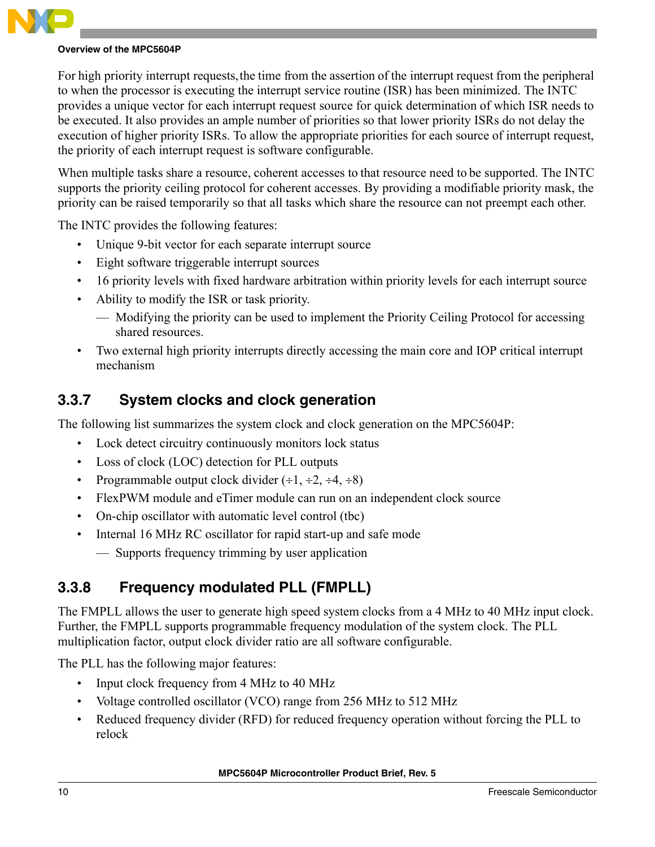

For high priority interrupt requests, the time from the assertion of the interrupt request from the peripheral to when the processor is executing the interrupt service routine (ISR) has been minimized. The INTC provides a unique vector for each interrupt request source for quick determination of which ISR needs to be executed. It also provides an ample number of priorities so that lower priority ISRs do not delay the execution of higher priority ISRs. To allow the appropriate priorities for each source of interrupt request, the priority of each interrupt request is software configurable.

When multiple tasks share a resource, coherent accesses to that resource need to be supported. The INTC supports the priority ceiling protocol for coherent accesses. By providing a modifiable priority mask, the priority can be raised temporarily so that all tasks which share the resource can not preempt each other.

The INTC provides the following features:

- Unique 9-bit vector for each separate interrupt source
- Eight software triggerable interrupt sources
- 16 priority levels with fixed hardware arbitration within priority levels for each interrupt source
- Ability to modify the ISR or task priority.
	- Modifying the priority can be used to implement the Priority Ceiling Protocol for accessing shared resources.
- Two external high priority interrupts directly accessing the main core and IOP critical interrupt mechanism

#### **3.3.7 System clocks and clock generation**

The following list summarizes the system clock and clock generation on the MPC5604P:

- Lock detect circuitry continuously monitors lock status
- Loss of clock (LOC) detection for PLL outputs
- Programmable output clock divider  $(\div 1, \div 2, \div 4, \div 8)$
- FlexPWM module and eTimer module can run on an independent clock source
- On-chip oscillator with automatic level control (tbc)
- Internal 16 MHz RC oscillator for rapid start-up and safe mode
	- Supports frequency trimming by user application

## **3.3.8 Frequency modulated PLL (FMPLL)**

The FMPLL allows the user to generate high speed system clocks from a 4 MHz to 40 MHz input clock. Further, the FMPLL supports programmable frequency modulation of the system clock. The PLL multiplication factor, output clock divider ratio are all software configurable.

The PLL has the following major features:

- Input clock frequency from 4 MHz to 40 MHz
- Voltage controlled oscillator (VCO) range from 256 MHz to 512 MHz
- Reduced frequency divider (RFD) for reduced frequency operation without forcing the PLL to relock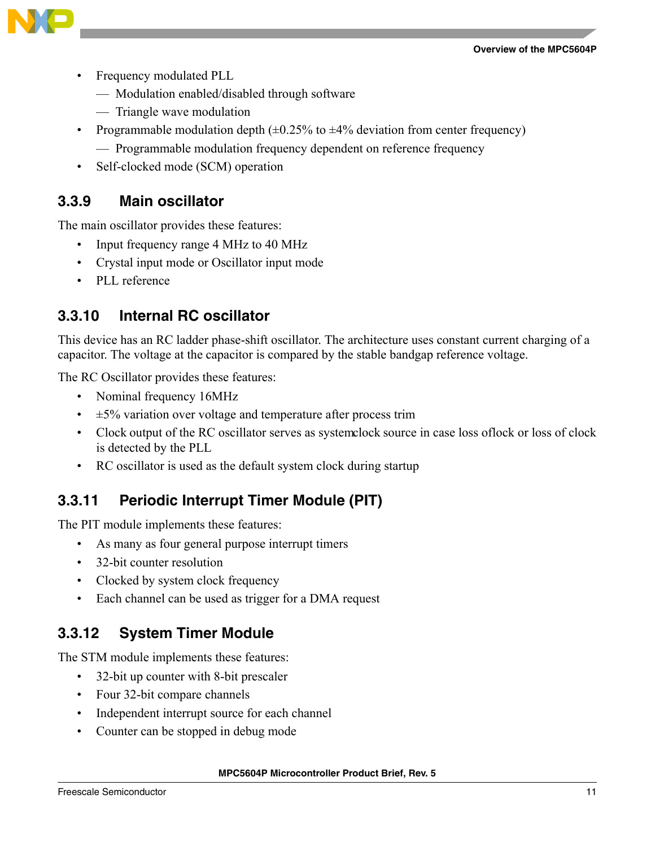

- Frequency modulated PLL
	- Modulation enabled/disabled through software
	- Triangle wave modulation
- Programmable modulation depth  $(\pm 0.25\%$  to  $\pm 4\%$  deviation from center frequency)
	- Programmable modulation frequency dependent on reference frequency
- Self-clocked mode (SCM) operation

#### **3.3.9 Main oscillator**

The main oscillator provides these features:

- Input frequency range 4 MHz to 40 MHz
- Crystal input mode or Oscillator input mode
- PLL reference

#### **3.3.10 Internal RC oscillator**

This device has an RC ladder phase-shift oscillator. The architecture uses constant current charging of a capacitor. The voltage at the capacitor is compared by the stable bandgap reference voltage.

The RC Oscillator provides these features:

- Nominal frequency 16MHz
- $\cdot$   $\pm$  5% variation over voltage and temperature after process trim
- Clock output of the RC oscillator serves as system clock source in case loss of lock or loss of clock is detected by the PLL
- RC oscillator is used as the default system clock during startup

## **3.3.11 Periodic Interrupt Timer Module (PIT)**

The PIT module implements these features:

- As many as four general purpose interrupt timers
- 32-bit counter resolution
- Clocked by system clock frequency
- Each channel can be used as trigger for a DMA request

## **3.3.12 System Timer Module**

The STM module implements these features:

- 32-bit up counter with 8-bit prescaler
- Four 32-bit compare channels
- Independent interrupt source for each channel
- Counter can be stopped in debug mode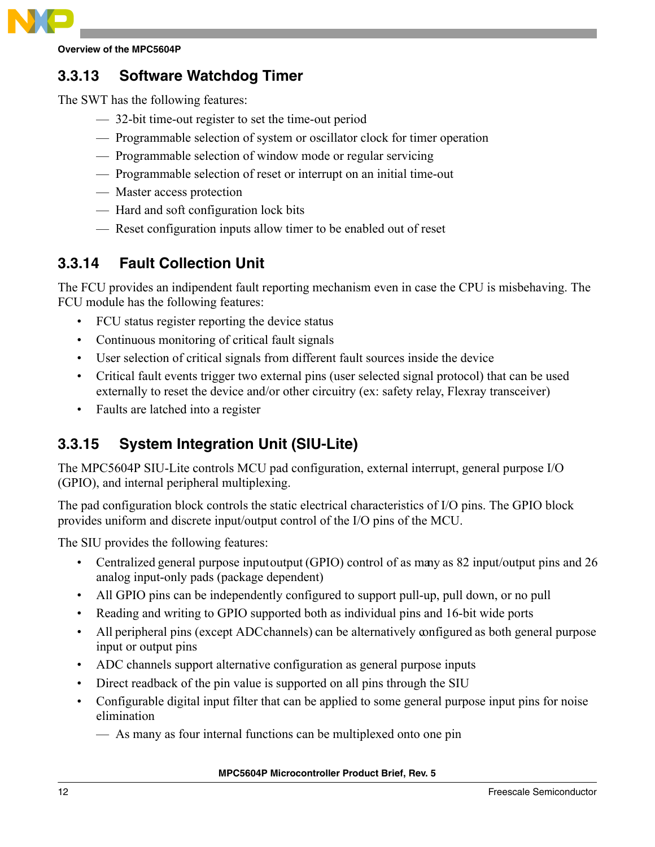

### **3.3.13 Software Watchdog Timer**

The SWT has the following features:

- 32-bit time-out register to set the time-out period
- Programmable selection of system or oscillator clock for timer operation
- Programmable selection of window mode or regular servicing
- Programmable selection of reset or interrupt on an initial time-out
- Master access protection
- Hard and soft configuration lock bits
- Reset configuration inputs allow timer to be enabled out of reset

## **3.3.14 Fault Collection Unit**

The FCU provides an indipendent fault reporting mechanism even in case the CPU is misbehaving. The FCU module has the following features:

- FCU status register reporting the device status
- Continuous monitoring of critical fault signals
- User selection of critical signals from different fault sources inside the device
- Critical fault events trigger two external pins (user selected signal protocol) that can be used externally to reset the device and/or other circuitry (ex: safety relay, Flexray transceiver)
- Faults are latched into a register

## **3.3.15 System Integration Unit (SIU-Lite)**

The MPC5604P SIU-Lite controls MCU pad configuration, external interrupt, general purpose I/O (GPIO), and internal peripheral multiplexing.

The pad configuration block controls the static electrical characteristics of I/O pins. The GPIO block provides uniform and discrete input/output control of the I/O pins of the MCU.

The SIU provides the following features:

- Centralized general purpose input output (GPIO) control of as may as 82 input/output pins and 26 analog input-only pads (package dependent)
- All GPIO pins can be independently configured to support pull-up, pull down, or no pull
- Reading and writing to GPIO supported both as individual pins and 16-bit wide ports
- All peripheral pins (except ADC channels) can be alternatively configured as both general purpose input or output pins
- ADC channels support alternative configuration as general purpose inputs
- Direct readback of the pin value is supported on all pins through the SIU
- Configurable digital input filter that can be applied to some general purpose input pins for noise elimination
	- As many as four internal functions can be multiplexed onto one pin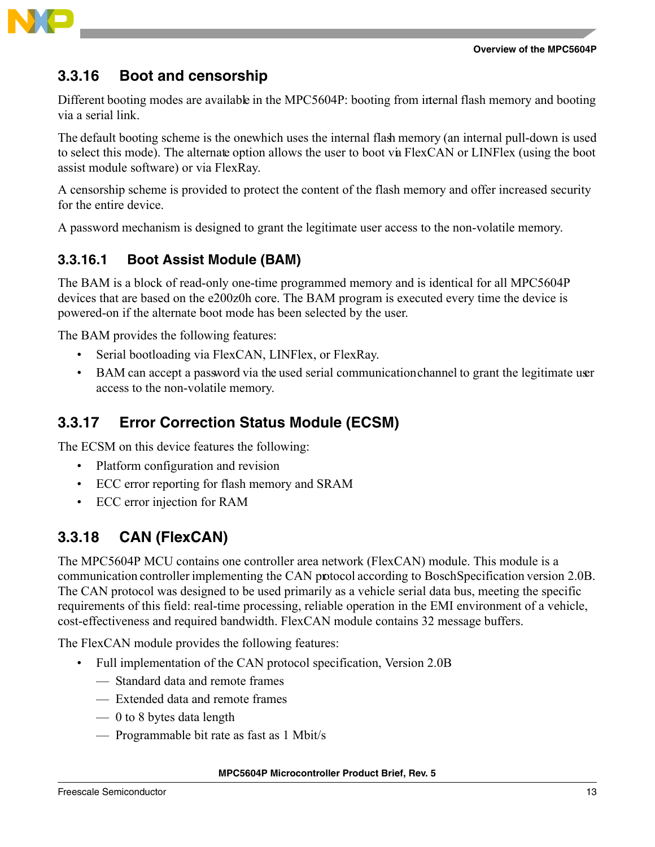

### **3.3.16 Boot and censorship**

Different booting modes are available in the MPC5604P: booting from internal flash memory and booting via a serial link.

The default booting scheme is the one which uses the internal flash memory (an internal pull-down is used to select this mode). The alternate option allows the user to boot via FlexCAN or LINFlex (using the boot assist module software) or via FlexRay.

A censorship scheme is provided to protect the content of the flash memory and offer increased security for the entire device.

A password mechanism is designed to grant the legitimate user access to the non-volatile memory.

#### **3.3.16.1 Boot Assist Module (BAM)**

The BAM is a block of read-only one-time programmed memory and is identical for all MPC5604P devices that are based on the e200z0h core. The BAM program is executed every time the device is powered-on if the alternate boot mode has been selected by the user.

The BAM provides the following features:

- Serial bootloading via FlexCAN, LINFlex, or FlexRay.
- BAM can accept a password via the used serial communication channel to grant the legitimate user access to the non-volatile memory.

### **3.3.17 Error Correction Status Module (ECSM)**

The ECSM on this device features the following:

- Platform configuration and revision
- ECC error reporting for flash memory and SRAM
- ECC error injection for RAM

#### **3.3.18 CAN (FlexCAN)**

The MPC5604P MCU contains one controller area network (FlexCAN) module. This module is a communication controller implementing the CAN protocol according to Bosch Specification version 2.0B. The CAN protocol was designed to be used primarily as a vehicle serial data bus, meeting the specific requirements of this field: real-time processing, reliable operation in the EMI environment of a vehicle, cost-effectiveness and required bandwidth. FlexCAN module contains 32 message buffers.

The FlexCAN module provides the following features:

- Full implementation of the CAN protocol specification, Version 2.0B
	- Standard data and remote frames
	- Extended data and remote frames
	- 0 to 8 bytes data length
	- Programmable bit rate as fast as 1 Mbit/s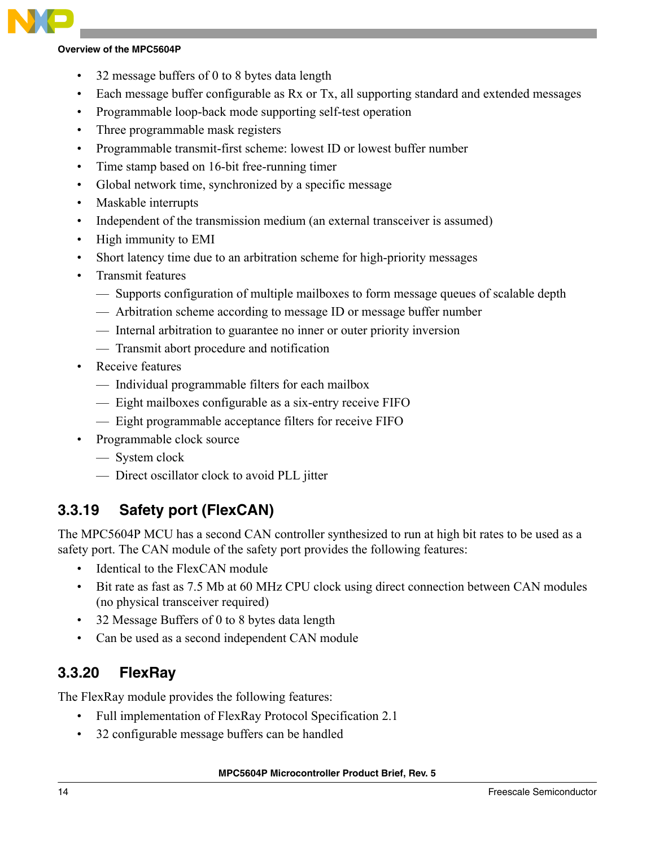- 32 message buffers of 0 to 8 bytes data length
- Each message buffer configurable as Rx or Tx, all supporting standard and extended messages
- Programmable loop-back mode supporting self-test operation
- Three programmable mask registers
- Programmable transmit-first scheme: lowest ID or lowest buffer number
- Time stamp based on 16-bit free-running timer
- Global network time, synchronized by a specific message
- Maskable interrupts
- Independent of the transmission medium (an external transceiver is assumed)
- High immunity to EMI
- Short latency time due to an arbitration scheme for high-priority messages
- Transmit features
	- Supports configuration of multiple mailboxes to form message queues of scalable depth
	- Arbitration scheme according to message ID or message buffer number
	- Internal arbitration to guarantee no inner or outer priority inversion
	- Transmit abort procedure and notification
- Receive features
	- Individual programmable filters for each mailbox
	- Eight mailboxes configurable as a six-entry receive FIFO
	- Eight programmable acceptance filters for receive FIFO
- Programmable clock source
	- System clock
	- Direct oscillator clock to avoid PLL jitter

## **3.3.19 Safety port (FlexCAN)**

The MPC5604P MCU has a second CAN controller synthesized to run at high bit rates to be used as a safety port. The CAN module of the safety port provides the following features:

- Identical to the FlexCAN module
- Bit rate as fast as 7.5 Mb at 60 MHz CPU clock using direct connection between CAN modules (no physical transceiver required)
- 32 Message Buffers of 0 to 8 bytes data length
- Can be used as a second independent CAN module

## **3.3.20 FlexRay**

The FlexRay module provides the following features:

- Full implementation of FlexRay Protocol Specification 2.1
- 32 configurable message buffers can be handled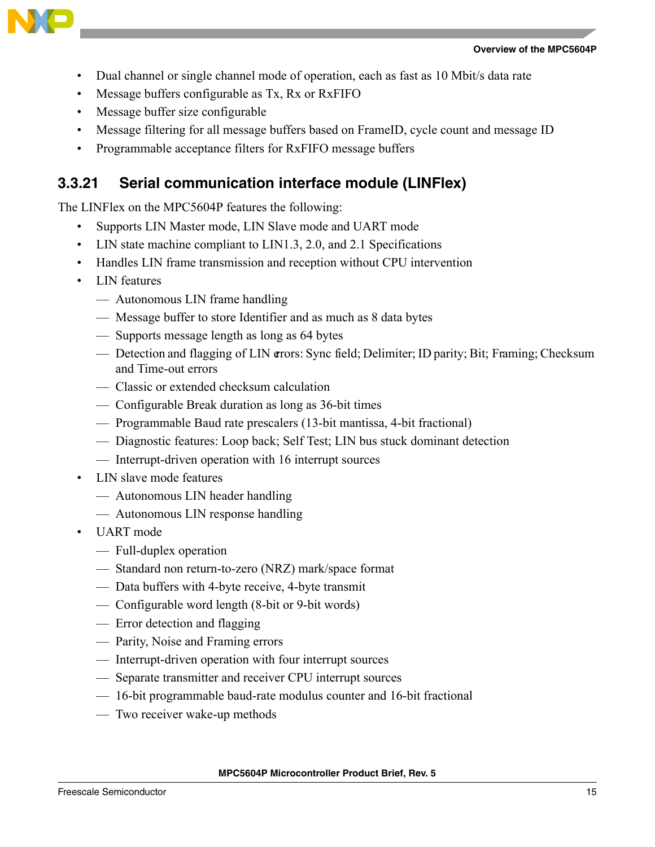

- Dual channel or single channel mode of operation, each as fast as 10 Mbit/s data rate
- Message buffers configurable as Tx, Rx or RxFIFO
- Message buffer size configurable
- Message filtering for all message buffers based on FrameID, cycle count and message ID
- Programmable acceptance filters for RxFIFO message buffers

#### **3.3.21 Serial communication interface module (LINFlex)**

The LINFlex on the MPC5604P features the following:

- Supports LIN Master mode, LIN Slave mode and UART mode
- LIN state machine compliant to LIN1.3, 2.0, and 2.1 Specifications
- Handles LIN frame transmission and reception without CPU intervention
- LIN features
	- Autonomous LIN frame handling
	- Message buffer to store Identifier and as much as 8 data bytes
	- Supports message length as long as 64 bytes
	- Detection and flagging of LIN errors: Sync field; Delimiter; ID parity; Bit; Framing; Checksum and Time-out errors
	- Classic or extended checksum calculation
	- Configurable Break duration as long as 36-bit times
	- Programmable Baud rate prescalers (13-bit mantissa, 4-bit fractional)
	- Diagnostic features: Loop back; Self Test; LIN bus stuck dominant detection
	- Interrupt-driven operation with 16 interrupt sources
- LIN slave mode features
	- Autonomous LIN header handling
	- Autonomous LIN response handling
- UART mode
	- Full-duplex operation
	- Standard non return-to-zero (NRZ) mark/space format
	- Data buffers with 4-byte receive, 4-byte transmit
	- Configurable word length (8-bit or 9-bit words)
	- Error detection and flagging
	- Parity, Noise and Framing errors
	- Interrupt-driven operation with four interrupt sources
	- Separate transmitter and receiver CPU interrupt sources
	- 16-bit programmable baud-rate modulus counter and 16-bit fractional
	- Two receiver wake-up methods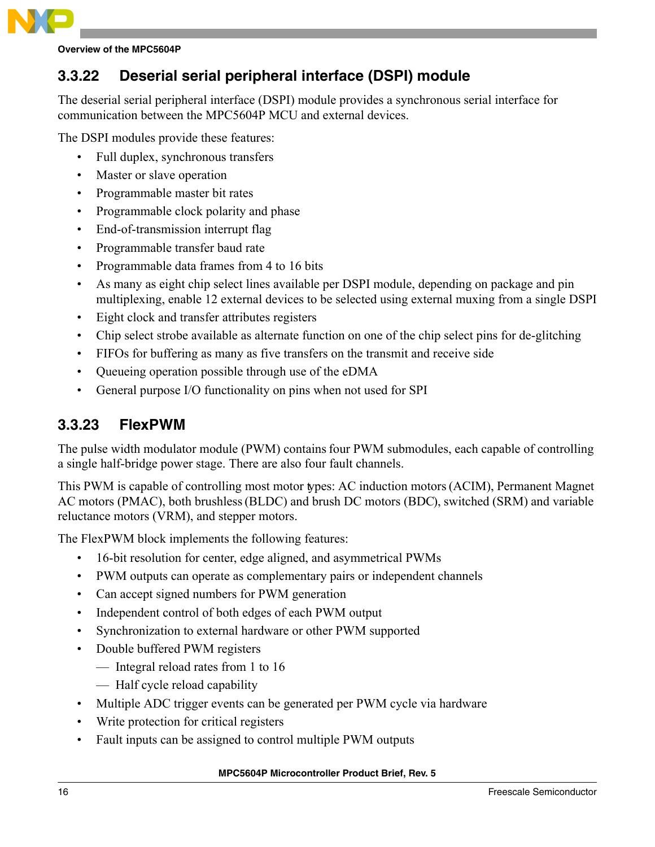

## **3.3.22 Deserial serial peripheral interface (DSPI) module**

The deserial serial peripheral interface (DSPI) module provides a synchronous serial interface for communication between the MPC5604P MCU and external devices.

The DSPI modules provide these features:

- Full duplex, synchronous transfers
- Master or slave operation
- Programmable master bit rates
- Programmable clock polarity and phase
- End-of-transmission interrupt flag
- Programmable transfer baud rate
- Programmable data frames from 4 to 16 bits
- As many as eight chip select lines available per DSPI module, depending on package and pin multiplexing, enable 12 external devices to be selected using external muxing from a single DSPI
- Eight clock and transfer attributes registers
- Chip select strobe available as alternate function on one of the chip select pins for de-glitching
- FIFOs for buffering as many as five transfers on the transmit and receive side
- Queueing operation possible through use of the eDMA
- General purpose I/O functionality on pins when not used for SPI

#### **3.3.23 FlexPWM**

The pulse width modulator module (PWM) contains four PWM submodules, each capable of controlling a single half-bridge power stage. There are also four fault channels.

This PWM is capable of controlling most motor types: AC induction motors (ACIM), Permanent Magnet AC motors (PMAC), both brushless (BLDC) and brush DC motors (BDC), switched (SRM) and variable reluctance motors (VRM), and stepper motors.

The FlexPWM block implements the following features:

- 16-bit resolution for center, edge aligned, and asymmetrical PWMs
- PWM outputs can operate as complementary pairs or independent channels
- Can accept signed numbers for PWM generation
- Independent control of both edges of each PWM output
- Synchronization to external hardware or other PWM supported
- Double buffered PWM registers
	- Integral reload rates from 1 to 16
	- Half cycle reload capability
- Multiple ADC trigger events can be generated per PWM cycle via hardware
- Write protection for critical registers
- Fault inputs can be assigned to control multiple PWM outputs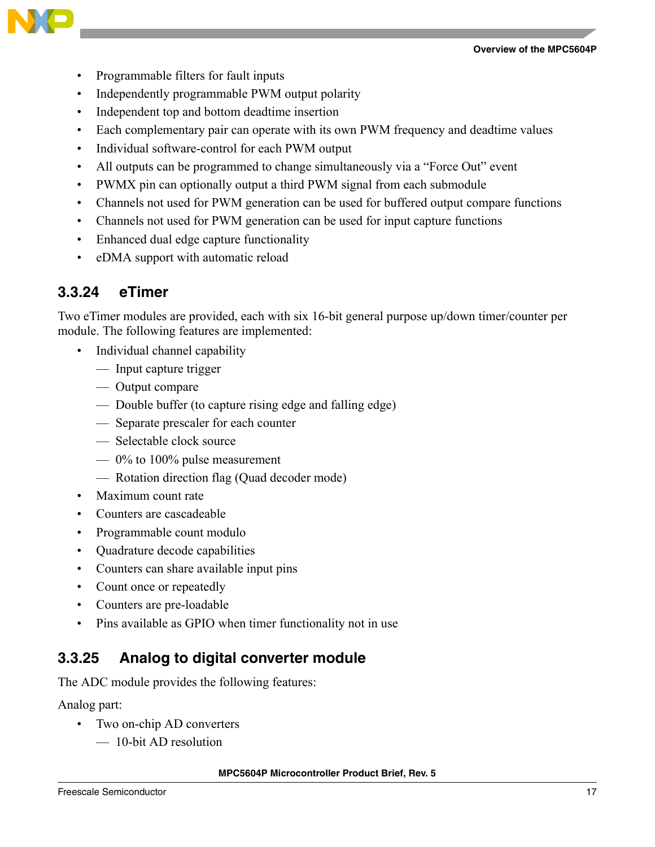

- Programmable filters for fault inputs
- Independently programmable PWM output polarity
- Independent top and bottom deadtime insertion
- Each complementary pair can operate with its own PWM frequency and deadtime values
- Individual software-control for each PWM output
- All outputs can be programmed to change simultaneously via a "Force Out" event
- PWMX pin can optionally output a third PWM signal from each submodule
- Channels not used for PWM generation can be used for buffered output compare functions
- Channels not used for PWM generation can be used for input capture functions
- Enhanced dual edge capture functionality
- eDMA support with automatic reload

#### **3.3.24 eTimer**

Two eTimer modules are provided, each with six 16-bit general purpose up/down timer/counter per module. The following features are implemented:

- Individual channel capability
	- Input capture trigger
	- Output compare
	- Double buffer (to capture rising edge and falling edge)
	- Separate prescaler for each counter
	- Selectable clock source
	- 0% to 100% pulse measurement
	- Rotation direction flag (Quad decoder mode)
- Maximum count rate
- Counters are cascadeable
- Programmable count modulo
- Quadrature decode capabilities
- Counters can share available input pins
- Count once or repeatedly
- Counters are pre-loadable
- Pins available as GPIO when timer functionality not in use

#### **3.3.25 Analog to digital converter module**

The ADC module provides the following features:

Analog part:

- Two on-chip AD converters
	- 10-bit AD resolution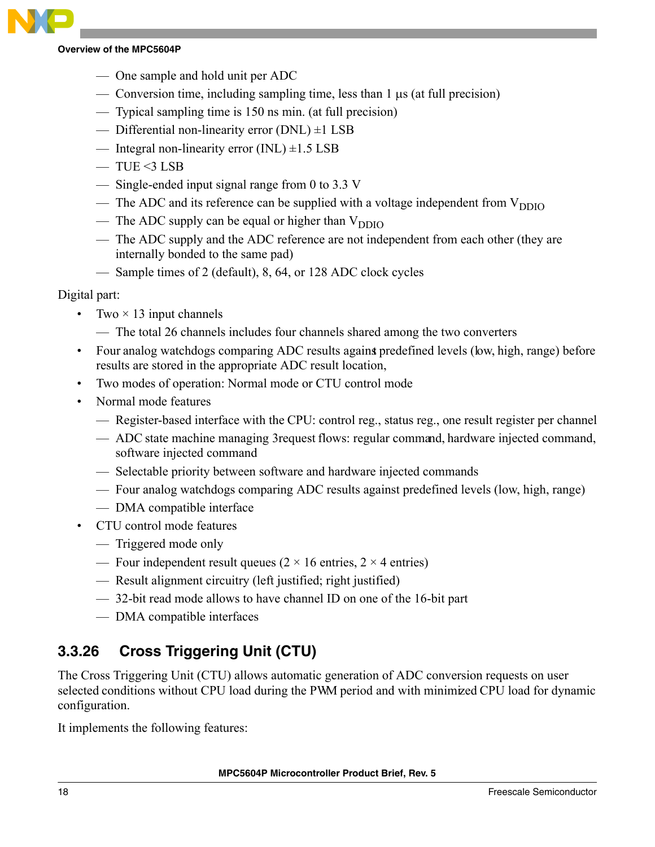- One sample and hold unit per ADC
- Conversion time, including sampling time, less than 1 μs (at full precision)
- Typical sampling time is 150 ns min. (at full precision)
- Differential non-linearity error (DNL) ±1 LSB
- Integral non-linearity error  $(INL) \pm 1.5$  LSB
- $-$  TUE <3 LSB
- Single-ended input signal range from 0 to 3.3 V
- The ADC and its reference can be supplied with a voltage independent from  $V_{DDIO}$
- The ADC supply can be equal or higher than  $V_{DDIO}$
- The ADC supply and the ADC reference are not independent from each other (they are internally bonded to the same pad)
- Sample times of 2 (default), 8, 64, or 128 ADC clock cycles

#### Digital part:

- Two  $\times$  13 input channels
	- The total 26 channels includes four channels shared among the two converters
- Four analog watchdogs comparing ADC results against predefined levels (low, high, range) before results are stored in the appropriate ADC result location,
- Two modes of operation: Normal mode or CTU control mode
- Normal mode features
	- Register-based interface with the CPU: control reg., status reg., one result register per channel
	- ADC state machine managing 3 request flows: regular command, hardware injected command, software injected command
	- Selectable priority between software and hardware injected commands
	- Four analog watchdogs comparing ADC results against predefined levels (low, high, range)
	- DMA compatible interface
- CTU control mode features
	- Triggered mode only
	- Four independent result queues ( $2 \times 16$  entries,  $2 \times 4$  entries)
	- Result alignment circuitry (left justified; right justified)
	- 32-bit read mode allows to have channel ID on one of the 16-bit part
	- DMA compatible interfaces

## **3.3.26 Cross Triggering Unit (CTU)**

The Cross Triggering Unit (CTU) allows automatic generation of ADC conversion requests on user selected conditions without CPU load during the PWM period and with minimized CPU load for dynamic configuration.

It implements the following features: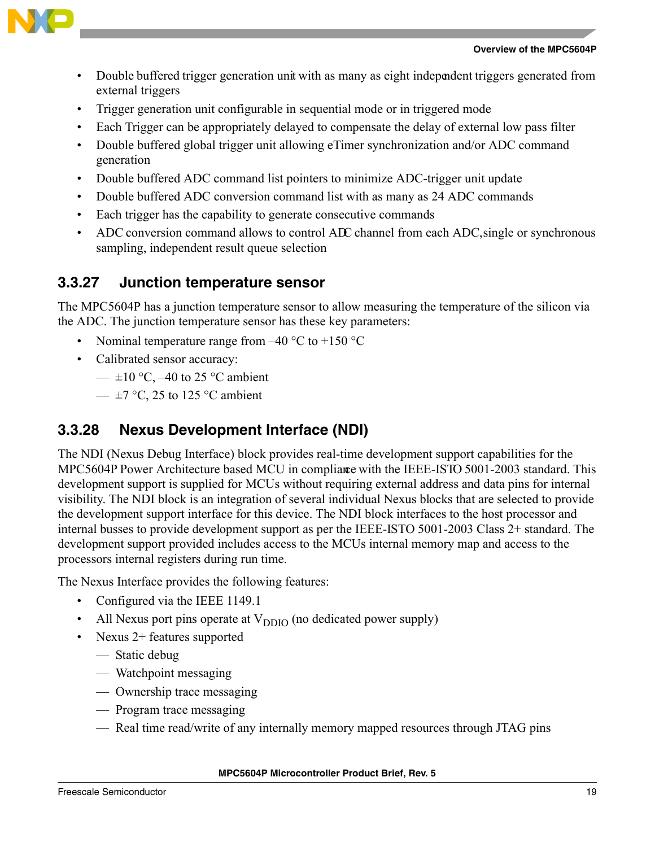



- Double buffered trigger generation unit with as many as eight independent triggers generated from external triggers
- Trigger generation unit configurable in sequential mode or in triggered mode
- Each Trigger can be appropriately delayed to compensate the delay of external low pass filter
- Double buffered global trigger unit allowing eTimer synchronization and/or ADC command generation
- Double buffered ADC command list pointers to minimize ADC-trigger unit update
- Double buffered ADC conversion command list with as many as 24 ADC commands
- Each trigger has the capability to generate consecutive commands
- ADC conversion command allows to control ADC channel from each ADC, single or synchronous sampling, independent result queue selection

### **3.3.27 Junction temperature sensor**

The MPC5604P has a junction temperature sensor to allow measuring the temperature of the silicon via the ADC. The junction temperature sensor has these key parameters:

- Nominal temperature range from  $-40$  °C to  $+150$  °C
- Calibrated sensor accuracy:
	- $\pm 10$  °C, -40 to 25 °C ambient
	- $\pm$ 7 °C, 25 to 125 °C ambient

## **3.3.28 Nexus Development Interface (NDI)**

The NDI (Nexus Debug Interface) block provides real-time development support capabilities for the MPC5604P Power Architecture based MCU in compliance with the IEEE-ISTO 5001-2003 standard. This development support is supplied for MCUs without requiring external address and data pins for internal visibility. The NDI block is an integration of several individual Nexus blocks that are selected to provide the development support interface for this device. The NDI block interfaces to the host processor and internal busses to provide development support as per the IEEE-ISTO 5001-2003 Class 2+ standard. The development support provided includes access to the MCUs internal memory map and access to the processors internal registers during run time.

The Nexus Interface provides the following features:

- Configured via the IEEE 1149.1
- All Nexus port pins operate at  $V_{DDIO}$  (no dedicated power supply)
- Nexus 2+ features supported
	- Static debug
	- Watchpoint messaging
	- Ownership trace messaging
	- Program trace messaging
	- Real time read/write of any internally memory mapped resources through JTAG pins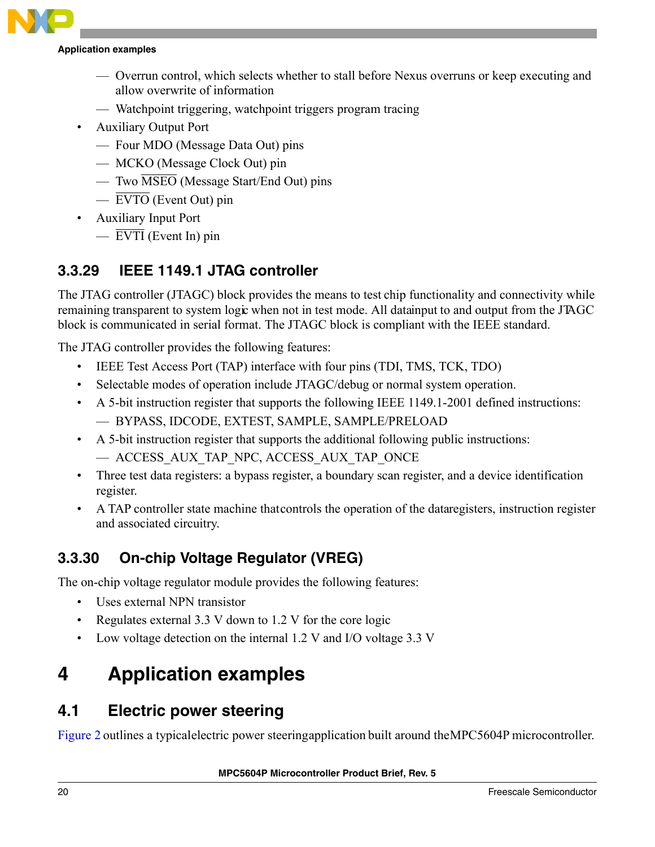#### **Application examples**

- Overrun control, which selects whether to stall before Nexus overruns or keep executing and allow overwrite of information
- Watchpoint triggering, watchpoint triggers program tracing
- Auxiliary Output Port
	- Four MDO (Message Data Out) pins
	- MCKO (Message Clock Out) pin
	- Two  $\overline{\text{MSEO}}$  (Message Start/End Out) pins
	- EVTO (Event Out) pin
- Auxiliary Input Port
	- $\overline{EVTI}$  (Event In) pin

## **3.3.29 IEEE 1149.1 JTAG controller**

The JTAG controller (JTAGC) block provides the means to test chip functionality and connectivity while remaining transparent to system logic when not in test mode. All datainput to and output from the JTAGC block is communicated in serial format. The JTAGC block is compliant with the IEEE standard.

The JTAG controller provides the following features:

- IEEE Test Access Port (TAP) interface with four pins (TDI, TMS, TCK, TDO)
- Selectable modes of operation include JTAGC/debug or normal system operation.
- A 5-bit instruction register that supports the following IEEE 1149.1-2001 defined instructions: — BYPASS, IDCODE, EXTEST, SAMPLE, SAMPLE/PRELOAD
- A 5-bit instruction register that supports the additional following public instructions:
	- ACCESS\_AUX\_TAP\_NPC, ACCESS\_AUX\_TAP\_ONCE
- Three test data registers: a bypass register, a boundary scan register, and a device identification register.
- A TAP controller state machine that controls the operation of the data registers, instruction register and associated circuitry.

## **3.3.30 On-chip Voltage Regulator (VREG)**

The on-chip voltage regulator module provides the following features:

- Uses external NPN transistor
- Regulates external 3.3 V down to 1.2 V for the core logic
- Low voltage detection on the internal 1.2 V and I/O voltage 3.3 V

# <span id="page-19-0"></span>**4 Application examples**

## <span id="page-19-1"></span>**4.1 Electric power steering**

[Figure 2](#page-20-1) outlines a typical electric power steering application built around the MPC5604P microcontroller.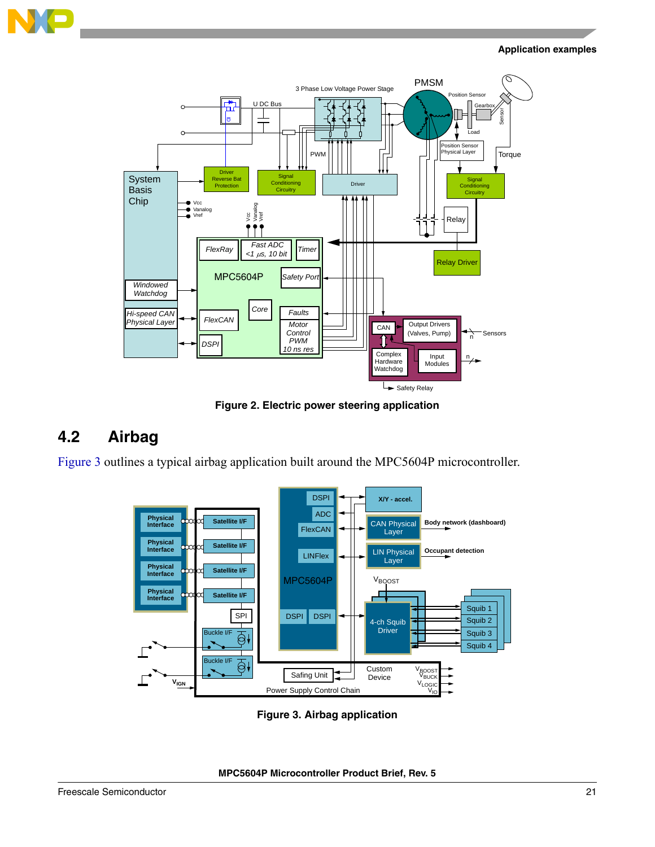

#### **Application examples**



**Figure 2. Electric power steering application** 

## <span id="page-20-1"></span><span id="page-20-0"></span>**4.2 Airbag**

[Figure 3](#page-20-2) outlines a typical airbag application built around the MPC5604P microcontroller.



<span id="page-20-2"></span>**Figure 3. Airbag application**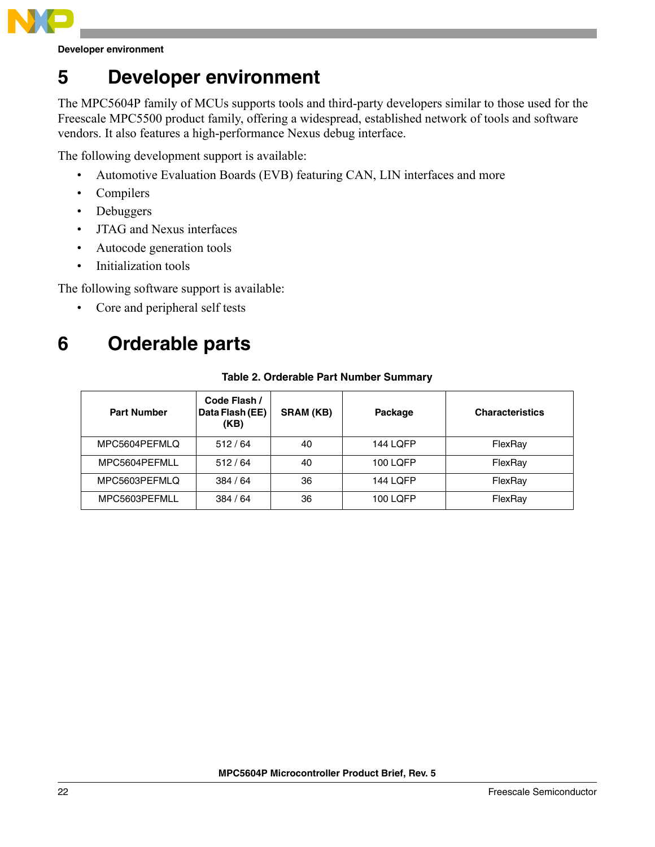

**Developer environment**

# <span id="page-21-0"></span>**5 Developer environment**

The MPC5604P family of MCUs supports tools and third-party developers similar to those used for the Freescale MPC5500 product family, offering a widespread, established network of tools and software vendors. It also features a high-performance Nexus debug interface.

The following development support is available:

- Automotive Evaluation Boards (EVB) featuring CAN, LIN interfaces and more
- Compilers
- Debuggers
- JTAG and Nexus interfaces
- Autocode generation tools
- Initialization tools

The following software support is available:

• Core and peripheral self tests

# <span id="page-21-1"></span>**6 Orderable parts**

| <b>Part Number</b> | Code Flash /<br>Data Flash (EE)<br>(KB) | <b>SRAM (KB)</b> | Package         | <b>Characteristics</b> |
|--------------------|-----------------------------------------|------------------|-----------------|------------------------|
| MPC5604PEFMLQ      | 512/64                                  | 40               | <b>144 LOFP</b> | FlexRay                |
| MPC5604PEFMLL      | 512/64                                  | 40               | 100 LOFP        | FlexRay                |
| MPC5603PEFMLQ      | 384/64                                  | 36               | <b>144 LQFP</b> | FlexRay                |
| MPC5603PEFMLL      | 384/64                                  | 36               | 100 LQFP        | FlexRay                |

#### **Table 2. Orderable Part Number Summary**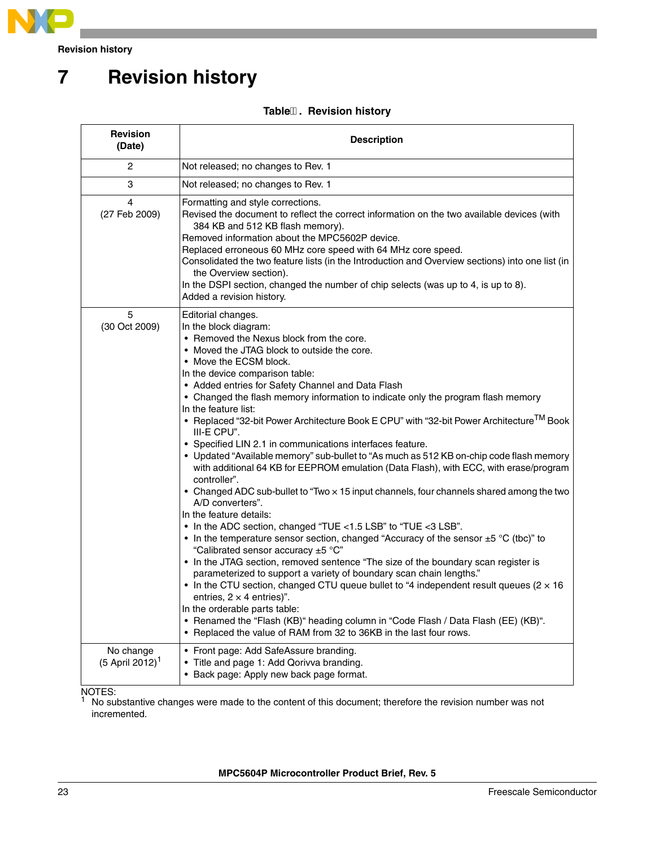

**Revision history**

# **7 Revision history**

#### **Table. Revision history**

| <b>Revision</b><br>(Date)                  | <b>Description</b>                                                                                                                                                                                                                                                                                                                                                                                                                                                                                                                                                                                                                                                                                                                                                                                                                                                                                                                                                                                                                                                                                                                                                                                                                                                                                                                                                                                                                                                                                                                                                                                           |
|--------------------------------------------|--------------------------------------------------------------------------------------------------------------------------------------------------------------------------------------------------------------------------------------------------------------------------------------------------------------------------------------------------------------------------------------------------------------------------------------------------------------------------------------------------------------------------------------------------------------------------------------------------------------------------------------------------------------------------------------------------------------------------------------------------------------------------------------------------------------------------------------------------------------------------------------------------------------------------------------------------------------------------------------------------------------------------------------------------------------------------------------------------------------------------------------------------------------------------------------------------------------------------------------------------------------------------------------------------------------------------------------------------------------------------------------------------------------------------------------------------------------------------------------------------------------------------------------------------------------------------------------------------------------|
| 2                                          | Not released; no changes to Rev. 1                                                                                                                                                                                                                                                                                                                                                                                                                                                                                                                                                                                                                                                                                                                                                                                                                                                                                                                                                                                                                                                                                                                                                                                                                                                                                                                                                                                                                                                                                                                                                                           |
| 3                                          | Not released; no changes to Rev. 1                                                                                                                                                                                                                                                                                                                                                                                                                                                                                                                                                                                                                                                                                                                                                                                                                                                                                                                                                                                                                                                                                                                                                                                                                                                                                                                                                                                                                                                                                                                                                                           |
| 4<br>(27 Feb 2009)                         | Formatting and style corrections.<br>Revised the document to reflect the correct information on the two available devices (with<br>384 KB and 512 KB flash memory).<br>Removed information about the MPC5602P device.<br>Replaced erroneous 60 MHz core speed with 64 MHz core speed.<br>Consolidated the two feature lists (in the Introduction and Overview sections) into one list (in<br>the Overview section).<br>In the DSPI section, changed the number of chip selects (was up to 4, is up to 8).<br>Added a revision history.                                                                                                                                                                                                                                                                                                                                                                                                                                                                                                                                                                                                                                                                                                                                                                                                                                                                                                                                                                                                                                                                       |
| 5<br>(30 Oct 2009)                         | Editorial changes.<br>In the block diagram:<br>• Removed the Nexus block from the core.<br>• Moved the JTAG block to outside the core.<br>• Move the ECSM block.<br>In the device comparison table:<br>• Added entries for Safety Channel and Data Flash<br>• Changed the flash memory information to indicate only the program flash memory<br>In the feature list:<br>• Replaced "32-bit Power Architecture Book E CPU" with "32-bit Power Architecture <sup>TM</sup> Book<br>III-E CPU".<br>• Specified LIN 2.1 in communications interfaces feature.<br>• Updated "Available memory" sub-bullet to "As much as 512 KB on-chip code flash memory<br>with additional 64 KB for EEPROM emulation (Data Flash), with ECC, with erase/program<br>controller".<br>• Changed ADC sub-bullet to "Two x 15 input channels, four channels shared among the two<br>A/D converters".<br>In the feature details:<br>• In the ADC section, changed "TUE <1.5 LSB" to "TUE <3 LSB".<br>• In the temperature sensor section, changed "Accuracy of the sensor $\pm$ 5 °C (tbc)" to<br>"Calibrated sensor accuracy ±5 °C"<br>• In the JTAG section, removed sentence "The size of the boundary scan register is<br>parameterized to support a variety of boundary scan chain lengths."<br>• In the CTU section, changed CTU queue bullet to "4 independent result queues ( $2 \times 16$ )<br>entries, $2 \times 4$ entries)".<br>In the orderable parts table:<br>• Renamed the "Flash (KB)" heading column in "Code Flash / Data Flash (EE) (KB)".<br>• Replaced the value of RAM from 32 to 36KB in the last four rows. |
| No change<br>$(5$ April 2012) <sup>1</sup> | • Front page: Add SafeAssure branding.<br>Title and page 1: Add Qorivva branding.<br>• Back page: Apply new back page format.                                                                                                                                                                                                                                                                                                                                                                                                                                                                                                                                                                                                                                                                                                                                                                                                                                                                                                                                                                                                                                                                                                                                                                                                                                                                                                                                                                                                                                                                                |

NOTES:<br><sup>1</sup> No substantive changes were made to the content of this document; therefore the revision number was not incremented.